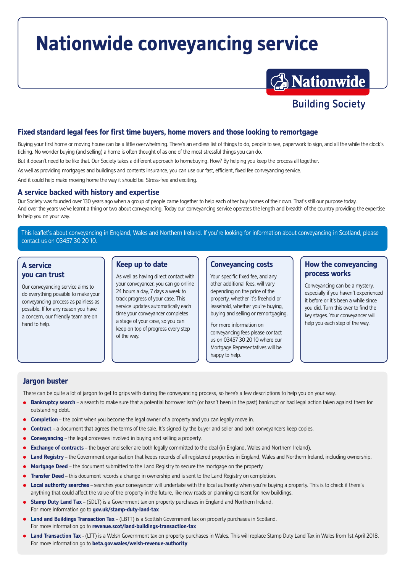# **Nationwide conveyancing service**



#### **Fixed standard legal fees for first time buyers, home movers and those looking to remortgage**

Buying your first home or moving house can be a little overwhelming. There's an endless list of things to do, people to see, paperwork to sign, and all the while the clock's ticking. No wonder buying (and selling) a home is often thought of as one of the most stressful things you can do.

But it doesn't need to be like that. Our Society takes a different approach to homebuying. How? By helping you keep the process all together.

As well as providing mortgages and buildings and contents insurance, you can use our fast, efficient, fixed fee conveyancing service.

And it could help make moving home the way it should be. Stress-free and exciting.

#### **A service backed with history and expertise**

Our Society was founded over 130 years ago when a group of people came together to help each other buy homes of their own. That's still our purpose today. And over the years we've learnt a thing or two about conveyancing. Today our conveyancing service operates the length and breadth of the country providing the expertise to help you on your way.

This leaflet's about conveyancing in England, Wales and Northern Ireland. If you're looking for information about conveyancing in Scotland, please contact us on 03457 30 20 10.

#### **A service you can trust**

Our conveyancing service aims to do everything possible to make your conveyancing process as painless as possible. If for any reason you have a concern, our friendly team are on hand to help.

#### **Keep up to date**

As well as having direct contact with your conveyancer, you can go online 24 hours a day, 7 days a week to track progress of your case. This service updates automatically each time your conveyancer completes a stage of your case, so you can keep on top of progress every step of the way.

#### **Conveyancing costs**

Your specific fixed fee, and any other additional fees, will vary depending on the price of the property, whether it's freehold or leasehold, whether you're buying, buying and selling or remortgaging.

For more information on conveyancing fees please contact us on 03457 30 20 10 where our Mortgage Representatives will be happy to help.

#### **How the conveyancing process works**

Conveyancing can be a mystery, especially if you haven't experienced it before or it's been a while since you did. Turn this over to find the key stages. Your conveyancer will help you each step of the way.

#### **Jargon buster**

There can be quite a lot of jargon to get to grips with during the conveyancing process, so here's a few descriptions to help you on your way.

- **Bankruptcy search** a search to make sure that a potential borrower isn't (or hasn't been in the past) bankrupt or had legal action taken against them for outstanding debt.
- **Completion** the point when you become the legal owner of a property and you can legally move in.
- **Contract** a document that agrees the terms of the sale. It's signed by the buyer and seller and both conveyancers keep copies.
- **Conveyancing** the legal processes involved in buying and selling a property.
- **Exchange of contracts** the buyer and seller are both legally committed to the deal (in England, Wales and Northern Ireland).
- **Land Registry** the Government organisation that keeps records of all registered properties in England, Wales and Northern Ireland, including ownership.
- **Mortgage Deed** the document submitted to the Land Registry to secure the mortgage on the property.
- **Transfer Deed** this document records a change in ownership and is sent to the Land Registry on completion.
- **Local authority searches** searches your conveyancer will undertake with the local authority when you're buying a property. This is to check if there's anything that could affect the value of the property in the future, like new roads or planning consent for new buildings.
- **Stamp Duty Land Tax** (SDLT) is a Government tax on property purchases in England and Northern Ireland. For more information go to **[gov.uk/stamp-duty-land-tax](https://gov.uk/stamp-duty-land-tax)**
- **Land and Buildings Transaction Tax** (LBTT) is a Scottish Government tax on property purchases in Scotland. For more information go to **[revenue.scot/land-buildings-transaction-tax](https://revenue.scot/land-buildings-transaction-tax)**
- **Land Transaction Tax** (LTT) is a Welsh Government tax on property purchases in Wales. This will replace Stamp Duty Land Tax in Wales from 1st April 2018. For more information go to **[beta.gov.wales/welsh-revenue-authority](https://beta.gov.wales/welsh-revenue-authority)**